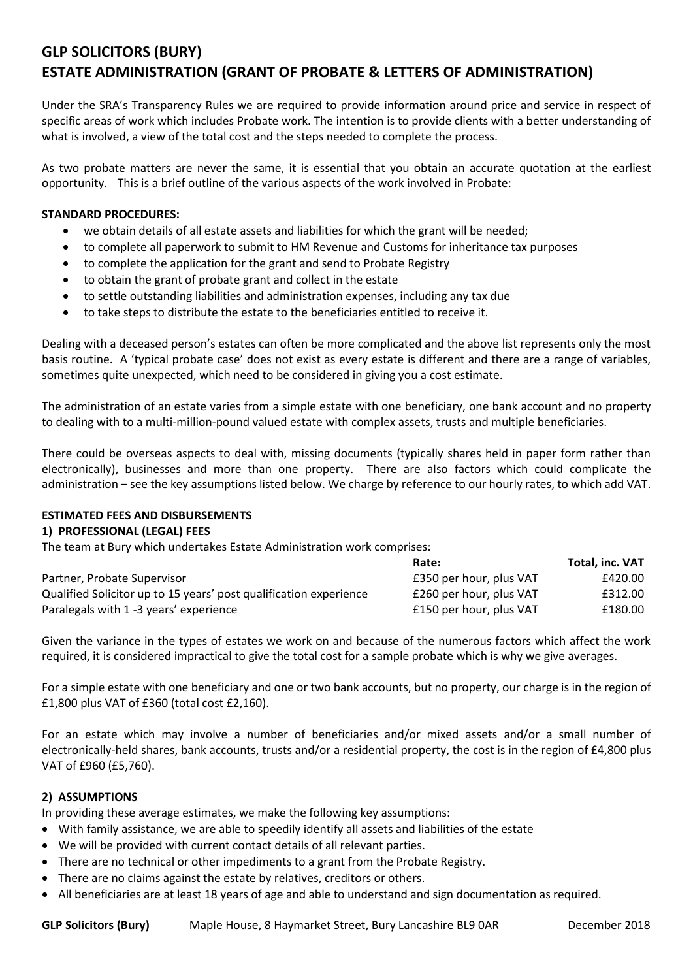# **GLP SOLICITORS (BURY) ESTATE ADMINISTRATION (GRANT OF PROBATE & LETTERS OF ADMINISTRATION)**

Under the SRA's Transparency Rules we are required to provide information around price and service in respect of specific areas of work which includes Probate work. The intention is to provide clients with a better understanding of what is involved, a view of the total cost and the steps needed to complete the process.

As two probate matters are never the same, it is essential that you obtain an accurate quotation at the earliest opportunity. This is a brief outline of the various aspects of the work involved in Probate:

#### **STANDARD PROCEDURES:**

- we obtain details of all estate assets and liabilities for which the grant will be needed;
- to complete all paperwork to submit to HM Revenue and Customs for inheritance tax purposes
- to complete the application for the grant and send to Probate Registry
- to obtain the grant of probate grant and collect in the estate
- to settle outstanding liabilities and administration expenses, including any tax due
- to take steps to distribute the estate to the beneficiaries entitled to receive it.

Dealing with a deceased person's estates can often be more complicated and the above list represents only the most basis routine. A 'typical probate case' does not exist as every estate is different and there are a range of variables, sometimes quite unexpected, which need to be considered in giving you a cost estimate.

The administration of an estate varies from a simple estate with one beneficiary, one bank account and no property to dealing with to a multi-million-pound valued estate with complex assets, trusts and multiple beneficiaries.

There could be overseas aspects to deal with, missing documents (typically shares held in paper form rather than electronically), businesses and more than one property. There are also factors which could complicate the administration – see the key assumptions listed below. We charge by reference to our hourly rates, to which add VAT.

### **ESTIMATED FEES AND DISBURSEMENTS**

#### **1) PROFESSIONAL (LEGAL) FEES**

The team at Bury which undertakes Estate Administration work comprises:

|                                                                   | Rate:                   | Total, inc. VAT |
|-------------------------------------------------------------------|-------------------------|-----------------|
| Partner, Probate Supervisor                                       | £350 per hour, plus VAT | £420.00         |
| Qualified Solicitor up to 15 years' post qualification experience | £260 per hour, plus VAT | £312.00         |
| Paralegals with 1 -3 years' experience                            | £150 per hour, plus VAT | £180.00         |

Given the variance in the types of estates we work on and because of the numerous factors which affect the work required, it is considered impractical to give the total cost for a sample probate which is why we give averages.

For a simple estate with one beneficiary and one or two bank accounts, but no property, our charge is in the region of £1,800 plus VAT of £360 (total cost £2,160).

For an estate which may involve a number of beneficiaries and/or mixed assets and/or a small number of electronically-held shares, bank accounts, trusts and/or a residential property, the cost is in the region of £4,800 plus VAT of £960 (£5,760).

#### **2) ASSUMPTIONS**

In providing these average estimates, we make the following key assumptions:

- With family assistance, we are able to speedily identify all assets and liabilities of the estate
- We will be provided with current contact details of all relevant parties.
- There are no technical or other impediments to a grant from the Probate Registry.
- There are no claims against the estate by relatives, creditors or others.
- All beneficiaries are at least 18 years of age and able to understand and sign documentation as required.